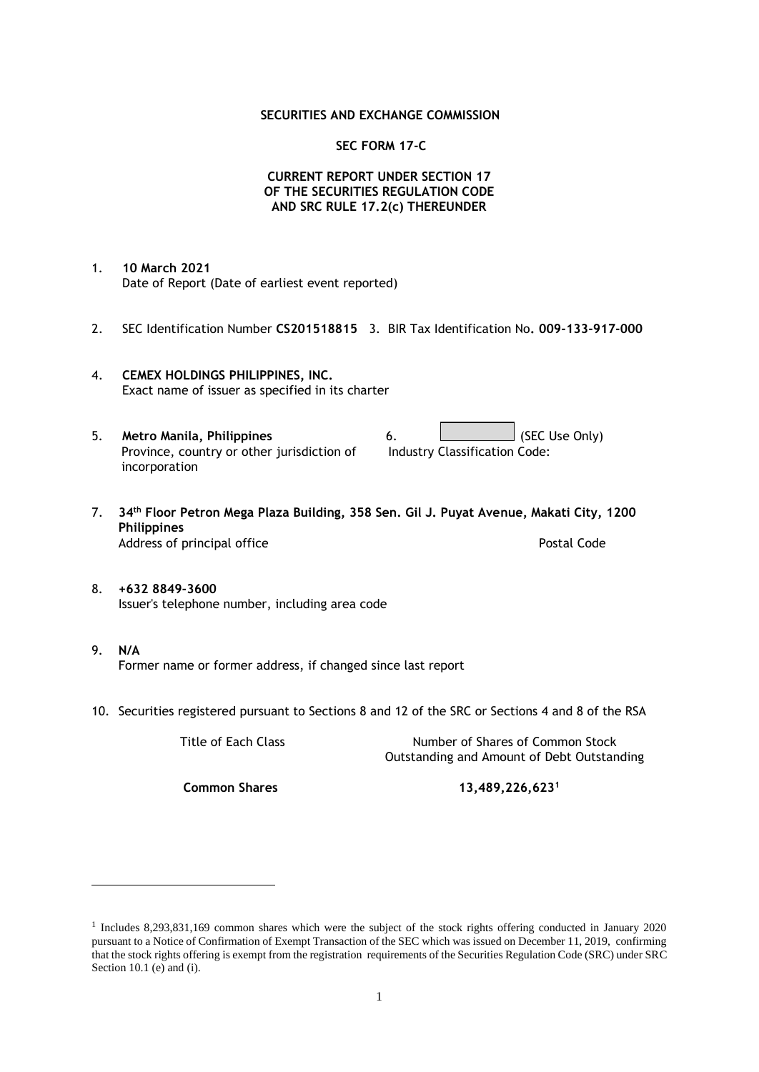### **SECURITIES AND EXCHANGE COMMISSION**

### **SEC FORM 17-C**

## **CURRENT REPORT UNDER SECTION 17 OF THE SECURITIES REGULATION CODE AND SRC RULE 17.2(c) THEREUNDER**

- 1. **10 March 2021** Date of Report (Date of earliest event reported)
- 2. SEC Identification Number **CS201518815** 3. BIR Tax Identification No**. 009-133-917-000**
- 4. **CEMEX HOLDINGS PHILIPPINES, INC.** Exact name of issuer as specified in its charter
- 5. **Metro Manila, Philippines** 6. **Consumers 6.** (SEC Use Only) Province, country or other jurisdiction of incorporation Industry Classification Code:
- 7. **34th Floor Petron Mega Plaza Building, 358 Sen. Gil J. Puyat Avenue, Makati City, 1200 Philippines** Address of principal office **Postal Code** Postal Code
- 8. **+632 8849-3600** Issuer's telephone number, including area code
- 9. **N/A** Former name or former address, if changed since last report
- 10. Securities registered pursuant to Sections 8 and 12 of the SRC or Sections 4 and 8 of the RSA

Title of Each Class Number of Shares of Common Stock Outstanding and Amount of Debt Outstanding

**Common Shares 13,489,226,623<sup>1</sup>**

<sup>1</sup> Includes 8,293,831,169 common shares which were the subject of the stock rights offering conducted in January 2020 pursuant to a Notice of Confirmation of Exempt Transaction of the SEC which was issued on December 11, 2019, confirming that the stock rights offering is exempt from the registration requirements of the Securities Regulation Code (SRC) under SRC Section 10.1 (e) and (i).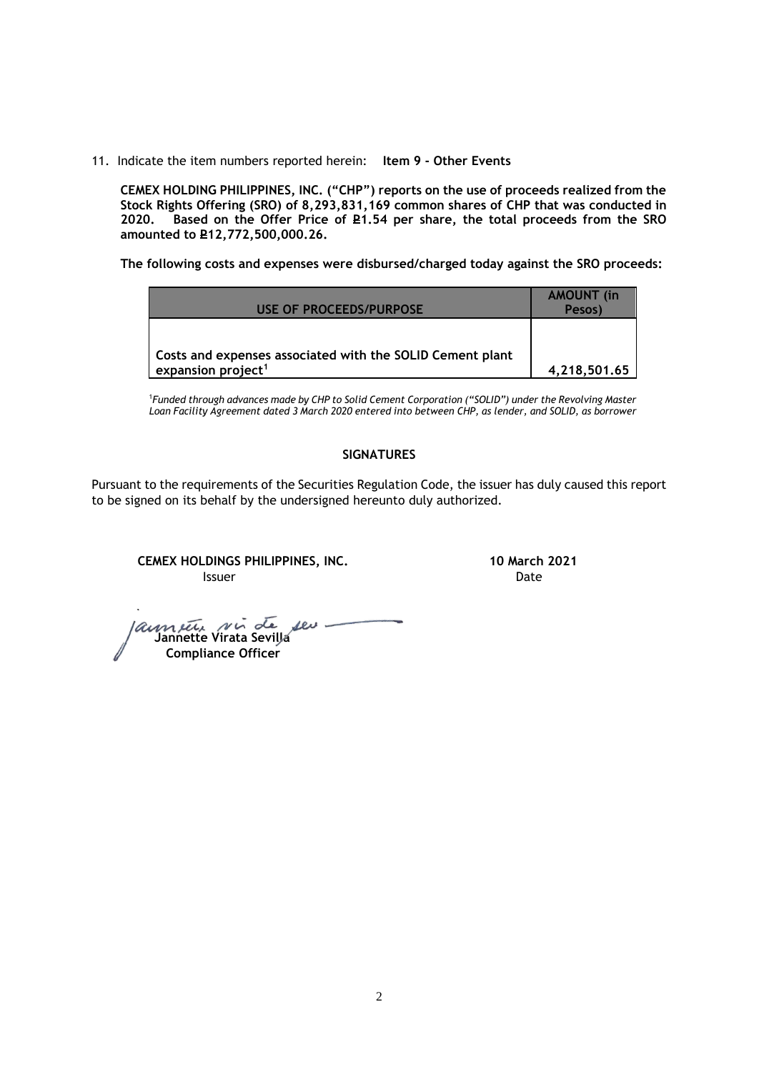11. Indicate the item numbers reported herein: **Item 9 - Other Events**

**CEMEX HOLDING PHILIPPINES, INC. ("CHP") reports on the use of proceeds realized from the Stock Rights Offering (SRO) of 8,293,831,169 common shares of CHP that was conducted in**  Based on the Offer Price of £1.54 per share, the total proceeds from the SRO **amounted to P12,772,500,000.26.** 

**The following costs and expenses were disbursed/charged today against the SRO proceeds:**

| USE OF PROCEEDS/PURPOSE                                                                     | <b>AMOUNT</b> (in<br>Pesos) |
|---------------------------------------------------------------------------------------------|-----------------------------|
| Costs and expenses associated with the SOLID Cement plant<br>expansion project <sup>1</sup> | 4,218,501.65                |

<sup>1</sup>*Funded through advances made by CHP to Solid Cement Corporation ("SOLID") under the Revolving Master Loan Facility Agreement dated 3 March 2020 entered into between CHP, as lender, and SOLID, as borrower*

## **SIGNATURES**

Pursuant to the requirements of the Securities Regulation Code, the issuer has duly caused this report to be signed on its behalf by the undersigned hereunto duly authorized.

**CEMEX HOLDINGS PHILIPPINES, INC. 10 March 2021 Issuer Date** 

 **Jannette Virata Sevilla Compliance Officer**